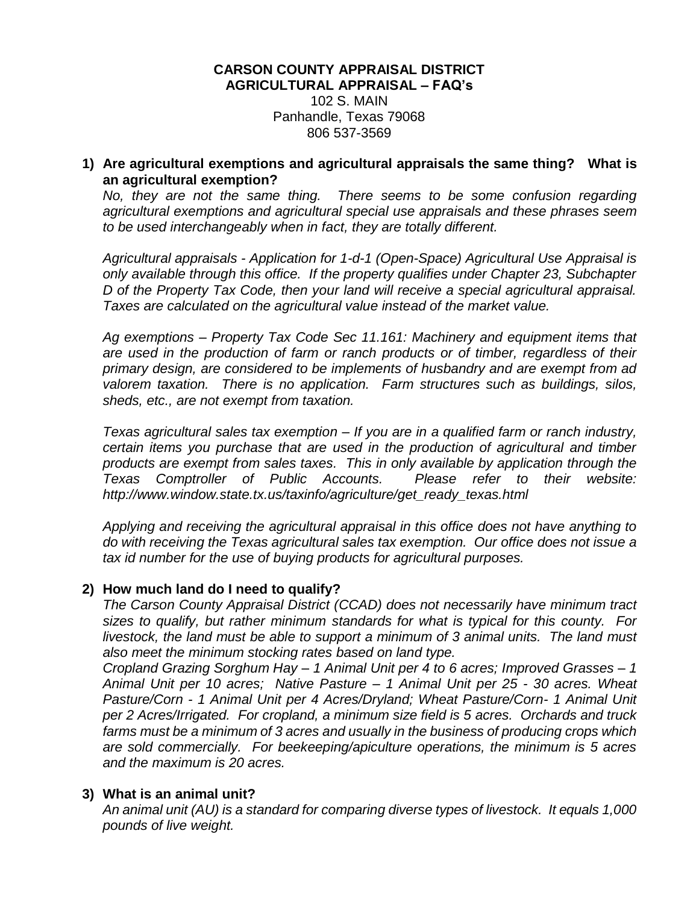#### **CARSON COUNTY APPRAISAL DISTRICT AGRICULTURAL APPRAISAL – FAQ's** 102 S. MAIN Panhandle, Texas 79068 806 537-3569

#### **1) Are agricultural exemptions and agricultural appraisals the same thing? What is an agricultural exemption?**

*No, they are not the same thing. There seems to be some confusion regarding agricultural exemptions and agricultural special use appraisals and these phrases seem to be used interchangeably when in fact, they are totally different.*

*Agricultural appraisals - Application for 1-d-1 (Open-Space) Agricultural Use Appraisal is only available through this office. If the property qualifies under Chapter 23, Subchapter D of the Property Tax Code, then your land will receive a special agricultural appraisal. Taxes are calculated on the agricultural value instead of the market value.*

*Ag exemptions – Property Tax Code Sec 11.161: Machinery and equipment items that are used in the production of farm or ranch products or of timber, regardless of their primary design, are considered to be implements of husbandry and are exempt from ad valorem taxation. There is no application. Farm structures such as buildings, silos, sheds, etc., are not exempt from taxation.* 

*Texas agricultural sales tax exemption – If you are in a qualified farm or ranch industry, certain items you purchase that are used in the production of agricultural and timber products are exempt from sales taxes. This in only available by application through the Texas Comptroller of Public Accounts. Please refer to their website: http://www.window.state.tx.us/taxinfo/agriculture/get\_ready\_texas.html*

*Applying and receiving the agricultural appraisal in this office does not have anything to do with receiving the Texas agricultural sales tax exemption. Our office does not issue a tax id number for the use of buying products for agricultural purposes.*

## **2) How much land do I need to qualify?**

*The Carson County Appraisal District (CCAD) does not necessarily have minimum tract sizes to qualify, but rather minimum standards for what is typical for this county. For livestock, the land must be able to support a minimum of 3 animal units. The land must also meet the minimum stocking rates based on land type.*

*Cropland Grazing Sorghum Hay – 1 Animal Unit per 4 to 6 acres; Improved Grasses – 1 Animal Unit per 10 acres; Native Pasture – 1 Animal Unit per 25 - 30 acres. Wheat Pasture/Corn - 1 Animal Unit per 4 Acres/Dryland; Wheat Pasture/Corn- 1 Animal Unit per 2 Acres/Irrigated. For cropland, a minimum size field is 5 acres. Orchards and truck farms must be a minimum of 3 acres and usually in the business of producing crops which are sold commercially. For beekeeping/apiculture operations, the minimum is 5 acres and the maximum is 20 acres.*

## **3) What is an animal unit?**

*An animal unit (AU) is a standard for comparing diverse types of livestock. It equals 1,000 pounds of live weight.*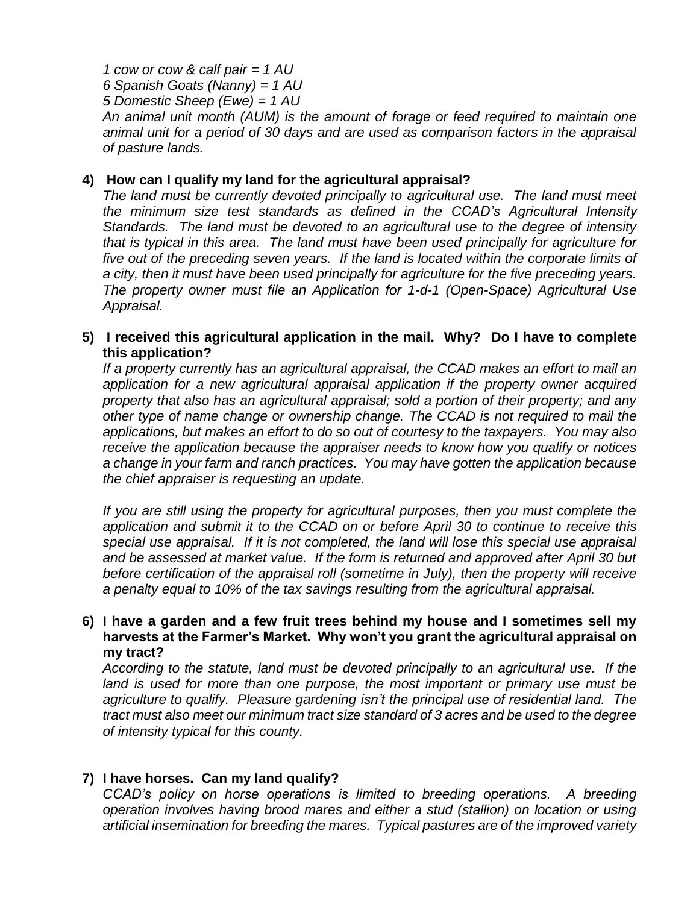*1 cow or cow & calf pair = 1 AU 6 Spanish Goats (Nanny) = 1 AU 5 Domestic Sheep (Ewe) = 1 AU An animal unit month (AUM) is the amount of forage or feed required to maintain one animal unit for a period of 30 days and are used as comparison factors in the appraisal of pasture lands.*

#### **4) How can I qualify my land for the agricultural appraisal?**

*The land must be currently devoted principally to agricultural use. The land must meet the minimum size test standards as defined in the CCAD's Agricultural Intensity Standards. The land must be devoted to an agricultural use to the degree of intensity that is typical in this area. The land must have been used principally for agriculture for five out of the preceding seven years. If the land is located within the corporate limits of a city, then it must have been used principally for agriculture for the five preceding years. The property owner must file an Application for 1-d-1 (Open-Space) Agricultural Use Appraisal.*

## **5) I received this agricultural application in the mail. Why? Do I have to complete this application?**

*If a property currently has an agricultural appraisal, the CCAD makes an effort to mail an application for a new agricultural appraisal application if the property owner acquired property that also has an agricultural appraisal; sold a portion of their property; and any other type of name change or ownership change. The CCAD is not required to mail the applications, but makes an effort to do so out of courtesy to the taxpayers. You may also receive the application because the appraiser needs to know how you qualify or notices a change in your farm and ranch practices. You may have gotten the application because the chief appraiser is requesting an update.*

*If you are still using the property for agricultural purposes, then you must complete the application and submit it to the CCAD on or before April 30 to continue to receive this special use appraisal. If it is not completed, the land will lose this special use appraisal and be assessed at market value. If the form is returned and approved after April 30 but before certification of the appraisal roll (sometime in July), then the property will receive a penalty equal to 10% of the tax savings resulting from the agricultural appraisal.*

#### **6) I have a garden and a few fruit trees behind my house and I sometimes sell my harvests at the Farmer's Market. Why won't you grant the agricultural appraisal on my tract?**

*According to the statute, land must be devoted principally to an agricultural use. If the*  land is used for more than one purpose, the most important or primary use must be *agriculture to qualify. Pleasure gardening isn't the principal use of residential land. The tract must also meet our minimum tract size standard of 3 acres and be used to the degree of intensity typical for this county.*

## **7) I have horses. Can my land qualify?**

*CCAD's policy on horse operations is limited to breeding operations. A breeding operation involves having brood mares and either a stud (stallion) on location or using artificial insemination for breeding the mares. Typical pastures are of the improved variety*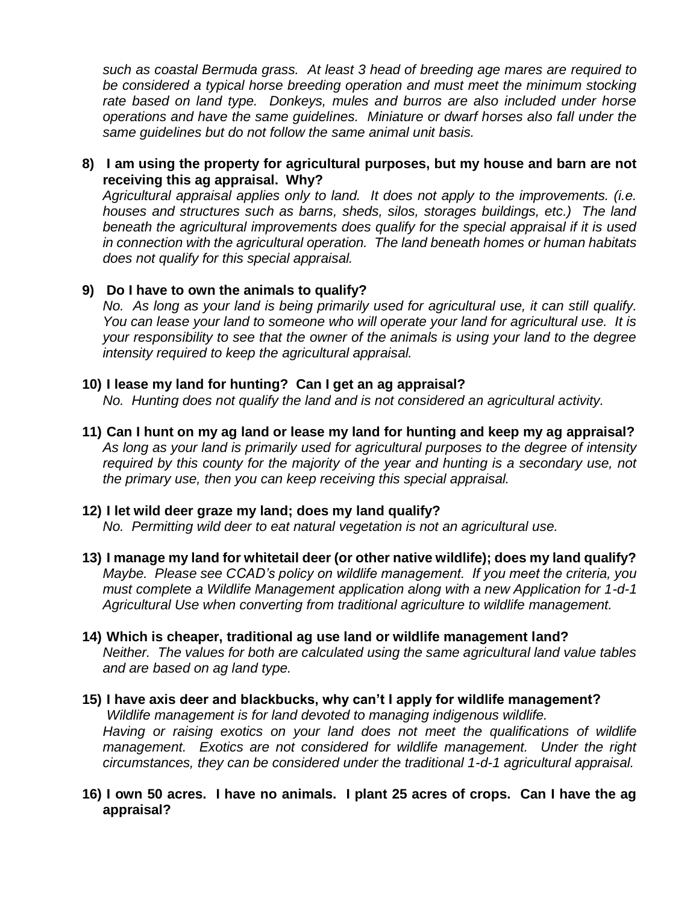*such as coastal Bermuda grass. At least 3 head of breeding age mares are required to be considered a typical horse breeding operation and must meet the minimum stocking rate based on land type. Donkeys, mules and burros are also included under horse operations and have the same guidelines. Miniature or dwarf horses also fall under the same guidelines but do not follow the same animal unit basis.*

## **8) I am using the property for agricultural purposes, but my house and barn are not receiving this ag appraisal. Why?**

*Agricultural appraisal applies only to land. It does not apply to the improvements. (i.e. houses and structures such as barns, sheds, silos, storages buildings, etc.) The land beneath the agricultural improvements does qualify for the special appraisal if it is used in connection with the agricultural operation. The land beneath homes or human habitats does not qualify for this special appraisal.*

## **9) Do I have to own the animals to qualify?**

*No. As long as your land is being primarily used for agricultural use, it can still qualify. You can lease your land to someone who will operate your land for agricultural use. It is your responsibility to see that the owner of the animals is using your land to the degree intensity required to keep the agricultural appraisal.*

# **10) I lease my land for hunting? Can I get an ag appraisal?**

*No. Hunting does not qualify the land and is not considered an agricultural activity.* 

**11) Can I hunt on my ag land or lease my land for hunting and keep my ag appraisal?** *As long as your land is primarily used for agricultural purposes to the degree of intensity required by this county for the majority of the year and hunting is a secondary use, not the primary use, then you can keep receiving this special appraisal.*

## **12) I let wild deer graze my land; does my land qualify?**

*No. Permitting wild deer to eat natural vegetation is not an agricultural use.*

- **13) I manage my land for whitetail deer (or other native wildlife); does my land qualify?** *Maybe. Please see CCAD's policy on wildlife management. If you meet the criteria, you must complete a Wildlife Management application along with a new Application for 1-d-1 Agricultural Use when converting from traditional agriculture to wildlife management.*
- **14) Which is cheaper, traditional ag use land or wildlife management land?** *Neither. The values for both are calculated using the same agricultural land value tables and are based on ag land type.*

# **15) I have axis deer and blackbucks, why can't I apply for wildlife management?**

*Wildlife management is for land devoted to managing indigenous wildlife. Having or raising exotics on your land does not meet the qualifications of wildlife management. Exotics are not considered for wildlife management. Under the right circumstances, they can be considered under the traditional 1-d-1 agricultural appraisal.* 

# **16) I own 50 acres. I have no animals. I plant 25 acres of crops. Can I have the ag appraisal?**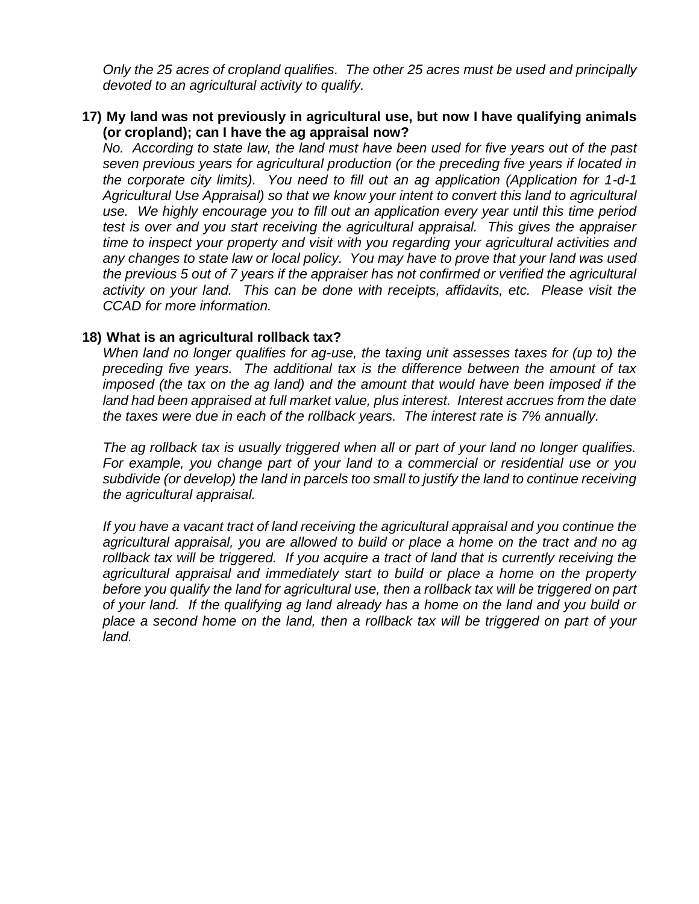*Only the 25 acres of cropland qualifies. The other 25 acres must be used and principally devoted to an agricultural activity to qualify.*

#### **17) My land was not previously in agricultural use, but now I have qualifying animals (or cropland); can I have the ag appraisal now?**

*No. According to state law, the land must have been used for five years out of the past seven previous years for agricultural production (or the preceding five years if located in the corporate city limits). You need to fill out an ag application (Application for 1-d-1 Agricultural Use Appraisal) so that we know your intent to convert this land to agricultural use. We highly encourage you to fill out an application every year until this time period test is over and you start receiving the agricultural appraisal. This gives the appraiser time to inspect your property and visit with you regarding your agricultural activities and any changes to state law or local policy. You may have to prove that your land was used the previous 5 out of 7 years if the appraiser has not confirmed or verified the agricultural activity on your land. This can be done with receipts, affidavits, etc. Please visit the CCAD for more information.*

#### **18) What is an agricultural rollback tax?**

*When land no longer qualifies for ag-use, the taxing unit assesses taxes for (up to) the preceding five years. The additional tax is the difference between the amount of tax imposed (the tax on the ag land) and the amount that would have been imposed if the land had been appraised at full market value, plus interest. Interest accrues from the date the taxes were due in each of the rollback years. The interest rate is 7% annually.*

*The ag rollback tax is usually triggered when all or part of your land no longer qualifies. For example, you change part of your land to a commercial or residential use or you subdivide (or develop) the land in parcels too small to justify the land to continue receiving the agricultural appraisal.* 

*If you have a vacant tract of land receiving the agricultural appraisal and you continue the agricultural appraisal, you are allowed to build or place a home on the tract and no ag rollback tax will be triggered. If you acquire a tract of land that is currently receiving the agricultural appraisal and immediately start to build or place a home on the property before you qualify the land for agricultural use, then a rollback tax will be triggered on part of your land. If the qualifying ag land already has a home on the land and you build or place a second home on the land, then a rollback tax will be triggered on part of your land.*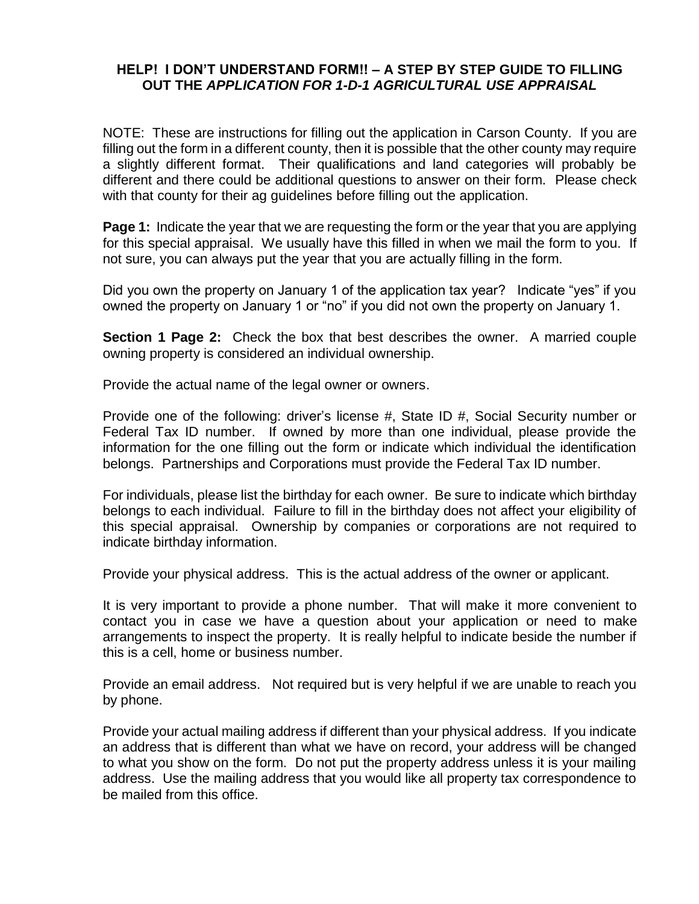#### **HELP! I DON'T UNDERSTAND FORM!! – A STEP BY STEP GUIDE TO FILLING OUT THE** *APPLICATION FOR 1-D-1 AGRICULTURAL USE APPRAISAL*

NOTE: These are instructions for filling out the application in Carson County. If you are filling out the form in a different county, then it is possible that the other county may require a slightly different format. Their qualifications and land categories will probably be different and there could be additional questions to answer on their form. Please check with that county for their ag guidelines before filling out the application.

**Page 1:** Indicate the year that we are requesting the form or the year that you are applying for this special appraisal. We usually have this filled in when we mail the form to you. If not sure, you can always put the year that you are actually filling in the form.

Did you own the property on January 1 of the application tax year? Indicate "yes" if you owned the property on January 1 or "no" if you did not own the property on January 1.

**Section 1 Page 2:** Check the box that best describes the owner. A married couple owning property is considered an individual ownership.

Provide the actual name of the legal owner or owners.

Provide one of the following: driver's license #, State ID #, Social Security number or Federal Tax ID number. If owned by more than one individual, please provide the information for the one filling out the form or indicate which individual the identification belongs. Partnerships and Corporations must provide the Federal Tax ID number.

For individuals, please list the birthday for each owner. Be sure to indicate which birthday belongs to each individual. Failure to fill in the birthday does not affect your eligibility of this special appraisal. Ownership by companies or corporations are not required to indicate birthday information.

Provide your physical address. This is the actual address of the owner or applicant.

It is very important to provide a phone number. That will make it more convenient to contact you in case we have a question about your application or need to make arrangements to inspect the property. It is really helpful to indicate beside the number if this is a cell, home or business number.

Provide an email address. Not required but is very helpful if we are unable to reach you by phone.

Provide your actual mailing address if different than your physical address. If you indicate an address that is different than what we have on record, your address will be changed to what you show on the form. Do not put the property address unless it is your mailing address. Use the mailing address that you would like all property tax correspondence to be mailed from this office.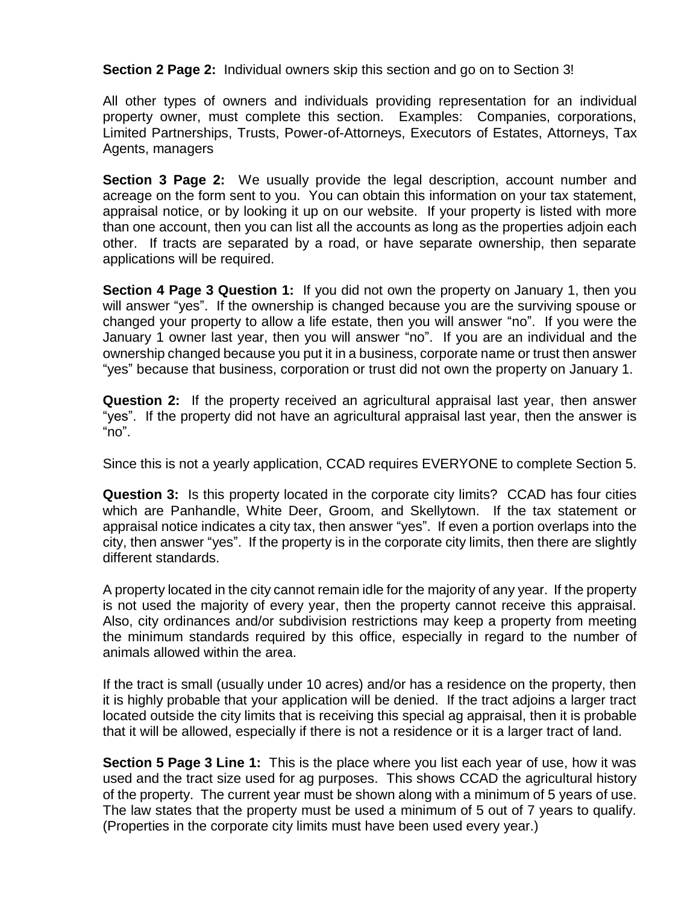**Section 2 Page 2:** Individual owners skip this section and go on to Section 3!

All other types of owners and individuals providing representation for an individual property owner, must complete this section. Examples: Companies, corporations, Limited Partnerships, Trusts, Power-of-Attorneys, Executors of Estates, Attorneys, Tax Agents, managers

**Section 3 Page 2:** We usually provide the legal description, account number and acreage on the form sent to you. You can obtain this information on your tax statement, appraisal notice, or by looking it up on our website. If your property is listed with more than one account, then you can list all the accounts as long as the properties adjoin each other. If tracts are separated by a road, or have separate ownership, then separate applications will be required.

**Section 4 Page 3 Question 1:** If you did not own the property on January 1, then you will answer "yes". If the ownership is changed because you are the surviving spouse or changed your property to allow a life estate, then you will answer "no". If you were the January 1 owner last year, then you will answer "no". If you are an individual and the ownership changed because you put it in a business, corporate name or trust then answer "yes" because that business, corporation or trust did not own the property on January 1.

**Question 2:** If the property received an agricultural appraisal last year, then answer "yes". If the property did not have an agricultural appraisal last year, then the answer is " $no$ ".

Since this is not a yearly application, CCAD requires EVERYONE to complete Section 5.

**Question 3:** Is this property located in the corporate city limits? CCAD has four cities which are Panhandle, White Deer, Groom, and Skellytown. If the tax statement or appraisal notice indicates a city tax, then answer "yes". If even a portion overlaps into the city, then answer "yes". If the property is in the corporate city limits, then there are slightly different standards.

A property located in the city cannot remain idle for the majority of any year. If the property is not used the majority of every year, then the property cannot receive this appraisal. Also, city ordinances and/or subdivision restrictions may keep a property from meeting the minimum standards required by this office, especially in regard to the number of animals allowed within the area.

If the tract is small (usually under 10 acres) and/or has a residence on the property, then it is highly probable that your application will be denied. If the tract adjoins a larger tract located outside the city limits that is receiving this special ag appraisal, then it is probable that it will be allowed, especially if there is not a residence or it is a larger tract of land.

**Section 5 Page 3 Line 1:** This is the place where you list each year of use, how it was used and the tract size used for ag purposes. This shows CCAD the agricultural history of the property. The current year must be shown along with a minimum of 5 years of use. The law states that the property must be used a minimum of 5 out of 7 years to qualify. (Properties in the corporate city limits must have been used every year.)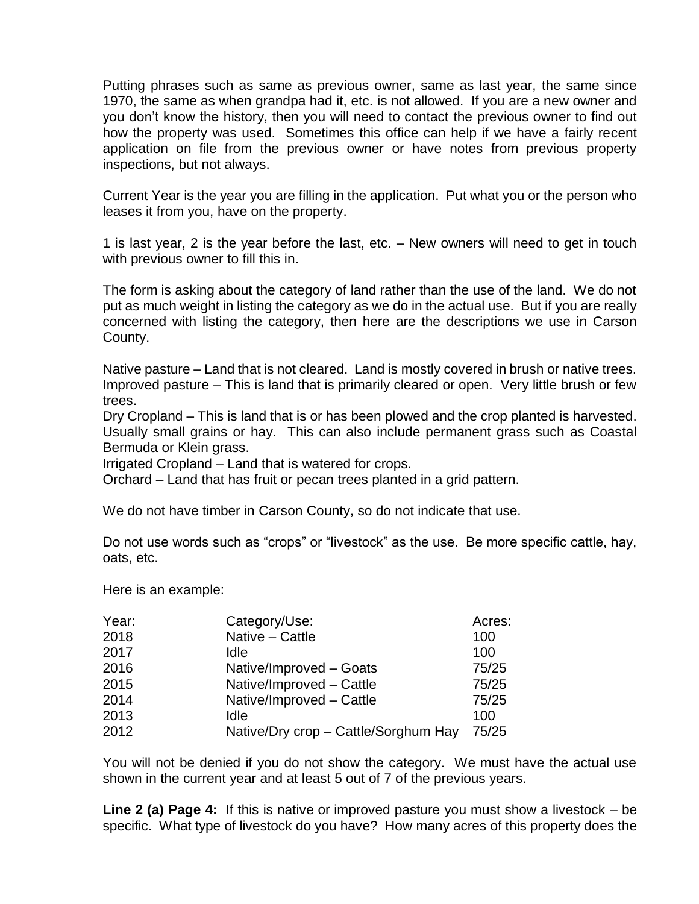Putting phrases such as same as previous owner, same as last year, the same since 1970, the same as when grandpa had it, etc. is not allowed. If you are a new owner and you don't know the history, then you will need to contact the previous owner to find out how the property was used. Sometimes this office can help if we have a fairly recent application on file from the previous owner or have notes from previous property inspections, but not always.

Current Year is the year you are filling in the application. Put what you or the person who leases it from you, have on the property.

1 is last year, 2 is the year before the last, etc. – New owners will need to get in touch with previous owner to fill this in.

The form is asking about the category of land rather than the use of the land. We do not put as much weight in listing the category as we do in the actual use. But if you are really concerned with listing the category, then here are the descriptions we use in Carson County.

Native pasture – Land that is not cleared. Land is mostly covered in brush or native trees. Improved pasture – This is land that is primarily cleared or open. Very little brush or few trees.

Dry Cropland – This is land that is or has been plowed and the crop planted is harvested. Usually small grains or hay. This can also include permanent grass such as Coastal Bermuda or Klein grass.

Irrigated Cropland – Land that is watered for crops.

Orchard – Land that has fruit or pecan trees planted in a grid pattern.

We do not have timber in Carson County, so do not indicate that use.

Do not use words such as "crops" or "livestock" as the use. Be more specific cattle, hay, oats, etc.

Here is an example:

| Year: | Category/Use:                        | Acres: |
|-------|--------------------------------------|--------|
| 2018  | Native - Cattle                      | 100    |
| 2017  | Idle                                 | 100    |
| 2016  | Native/Improved - Goats              | 75/25  |
| 2015  | Native/Improved - Cattle             | 75/25  |
| 2014  | Native/Improved - Cattle             | 75/25  |
| 2013  | Idle                                 | 100    |
| 2012  | Native/Dry crop - Cattle/Sorghum Hay | 75/25  |

You will not be denied if you do not show the category. We must have the actual use shown in the current year and at least 5 out of 7 of the previous years.

**Line 2 (a) Page 4:** If this is native or improved pasture you must show a livestock – be specific. What type of livestock do you have? How many acres of this property does the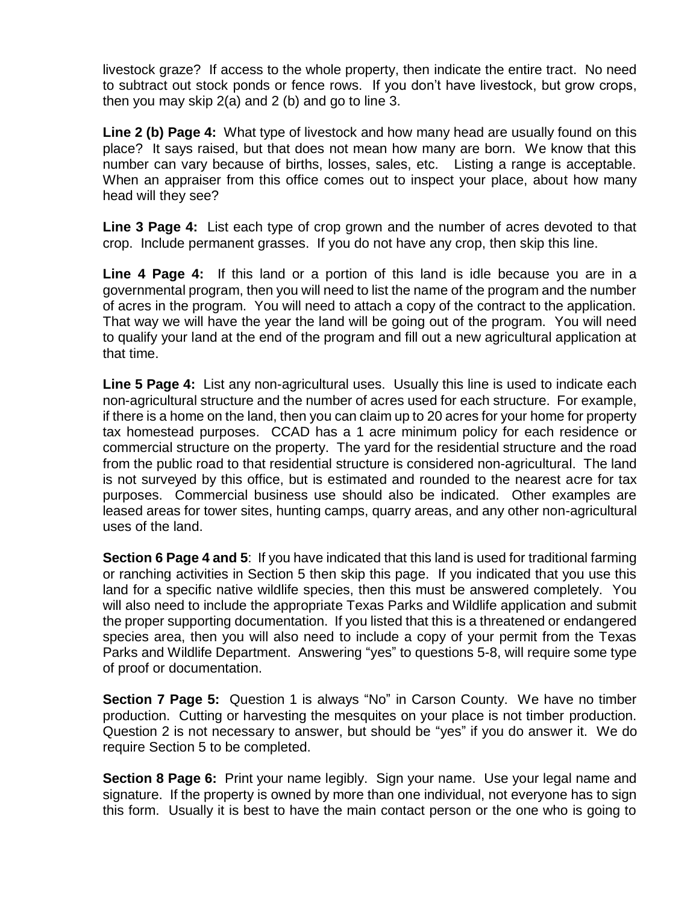livestock graze? If access to the whole property, then indicate the entire tract. No need to subtract out stock ponds or fence rows. If you don't have livestock, but grow crops, then you may skip 2(a) and 2 (b) and go to line 3.

**Line 2 (b) Page 4:** What type of livestock and how many head are usually found on this place? It says raised, but that does not mean how many are born. We know that this number can vary because of births, losses, sales, etc. Listing a range is acceptable. When an appraiser from this office comes out to inspect your place, about how many head will they see?

**Line 3 Page 4:** List each type of crop grown and the number of acres devoted to that crop. Include permanent grasses. If you do not have any crop, then skip this line.

**Line 4 Page 4:** If this land or a portion of this land is idle because you are in a governmental program, then you will need to list the name of the program and the number of acres in the program. You will need to attach a copy of the contract to the application. That way we will have the year the land will be going out of the program. You will need to qualify your land at the end of the program and fill out a new agricultural application at that time.

**Line 5 Page 4:** List any non-agricultural uses. Usually this line is used to indicate each non-agricultural structure and the number of acres used for each structure. For example, if there is a home on the land, then you can claim up to 20 acres for your home for property tax homestead purposes. CCAD has a 1 acre minimum policy for each residence or commercial structure on the property. The yard for the residential structure and the road from the public road to that residential structure is considered non-agricultural. The land is not surveyed by this office, but is estimated and rounded to the nearest acre for tax purposes. Commercial business use should also be indicated. Other examples are leased areas for tower sites, hunting camps, quarry areas, and any other non-agricultural uses of the land.

**Section 6 Page 4 and 5**: If you have indicated that this land is used for traditional farming or ranching activities in Section 5 then skip this page. If you indicated that you use this land for a specific native wildlife species, then this must be answered completely. You will also need to include the appropriate Texas Parks and Wildlife application and submit the proper supporting documentation. If you listed that this is a threatened or endangered species area, then you will also need to include a copy of your permit from the Texas Parks and Wildlife Department. Answering "yes" to questions 5-8, will require some type of proof or documentation.

**Section 7 Page 5:** Question 1 is always "No" in Carson County. We have no timber production. Cutting or harvesting the mesquites on your place is not timber production. Question 2 is not necessary to answer, but should be "yes" if you do answer it. We do require Section 5 to be completed.

**Section 8 Page 6:** Print your name legibly. Sign your name. Use your legal name and signature. If the property is owned by more than one individual, not everyone has to sign this form. Usually it is best to have the main contact person or the one who is going to